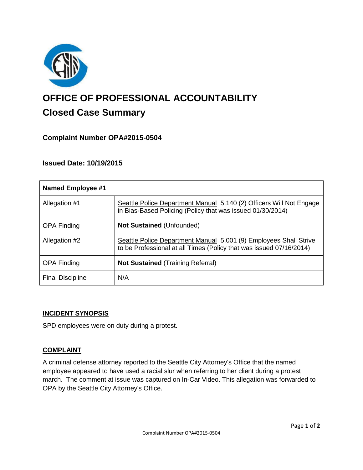

# **OFFICE OF PROFESSIONAL ACCOUNTABILITY Closed Case Summary**

# **Complaint Number OPA#2015-0504**

## **Issued Date: 10/19/2015**

| <b>Named Employee #1</b> |                                                                                                                                          |
|--------------------------|------------------------------------------------------------------------------------------------------------------------------------------|
| Allegation #1            | Seattle Police Department Manual 5.140 (2) Officers Will Not Engage<br>in Bias-Based Policing (Policy that was issued 01/30/2014)        |
| <b>OPA Finding</b>       | <b>Not Sustained (Unfounded)</b>                                                                                                         |
| Allegation #2            | Seattle Police Department Manual 5.001 (9) Employees Shall Strive<br>to be Professional at all Times (Policy that was issued 07/16/2014) |
| <b>OPA Finding</b>       | <b>Not Sustained (Training Referral)</b>                                                                                                 |
| <b>Final Discipline</b>  | N/A                                                                                                                                      |

### **INCIDENT SYNOPSIS**

SPD employees were on duty during a protest.

### **COMPLAINT**

A criminal defense attorney reported to the Seattle City Attorney's Office that the named employee appeared to have used a racial slur when referring to her client during a protest march. The comment at issue was captured on In-Car Video. This allegation was forwarded to OPA by the Seattle City Attorney's Office.